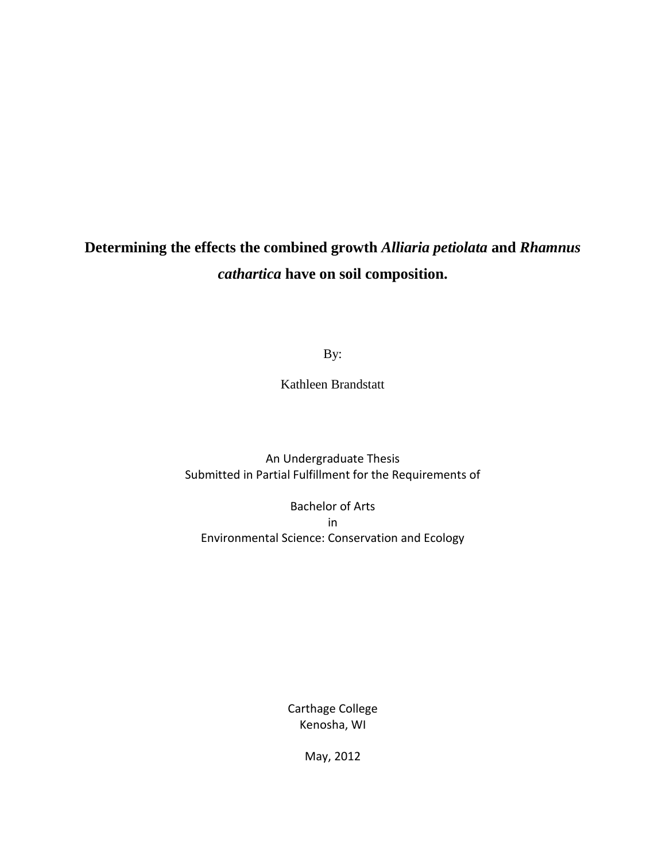# **Determining the effects the combined growth** *Alliaria petiolata* **and** *Rhamnus cathartica* **have on soil composition.**

By:

Kathleen Brandstatt

An Undergraduate Thesis Submitted in Partial Fulfillment for the Requirements of

Bachelor of Arts in Environmental Science: Conservation and Ecology

> Carthage College Kenosha, WI

> > May, 2012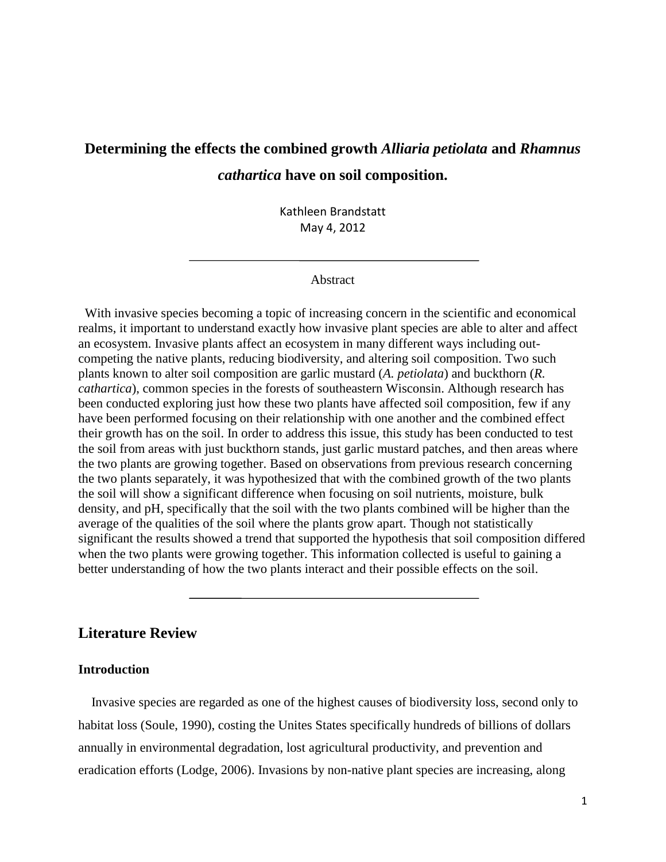## **Determining the effects the combined growth** *Alliaria petiolata* **and** *Rhamnus cathartica* **have on soil composition.**

Kathleen Brandstatt May 4, 2012

#### Abstract

 With invasive species becoming a topic of increasing concern in the scientific and economical realms, it important to understand exactly how invasive plant species are able to alter and affect an ecosystem. Invasive plants affect an ecosystem in many different ways including outcompeting the native plants, reducing biodiversity, and altering soil composition. Two such plants known to alter soil composition are garlic mustard (*A. petiolata*) and buckthorn (*R. cathartica*), common species in the forests of southeastern Wisconsin. Although research has been conducted exploring just how these two plants have affected soil composition, few if any have been performed focusing on their relationship with one another and the combined effect their growth has on the soil. In order to address this issue, this study has been conducted to test the soil from areas with just buckthorn stands, just garlic mustard patches, and then areas where the two plants are growing together. Based on observations from previous research concerning the two plants separately, it was hypothesized that with the combined growth of the two plants the soil will show a significant difference when focusing on soil nutrients, moisture, bulk density, and pH, specifically that the soil with the two plants combined will be higher than the average of the qualities of the soil where the plants grow apart. Though not statistically significant the results showed a trend that supported the hypothesis that soil composition differed when the two plants were growing together. This information collected is useful to gaining a better understanding of how the two plants interact and their possible effects on the soil.

#### **Literature Review**

#### **Introduction**

 Invasive species are regarded as one of the highest causes of biodiversity loss, second only to habitat loss (Soule, 1990), costing the Unites States specifically hundreds of billions of dollars annually in environmental degradation, lost agricultural productivity, and prevention and eradication efforts (Lodge, 2006). Invasions by non-native plant species are increasing, along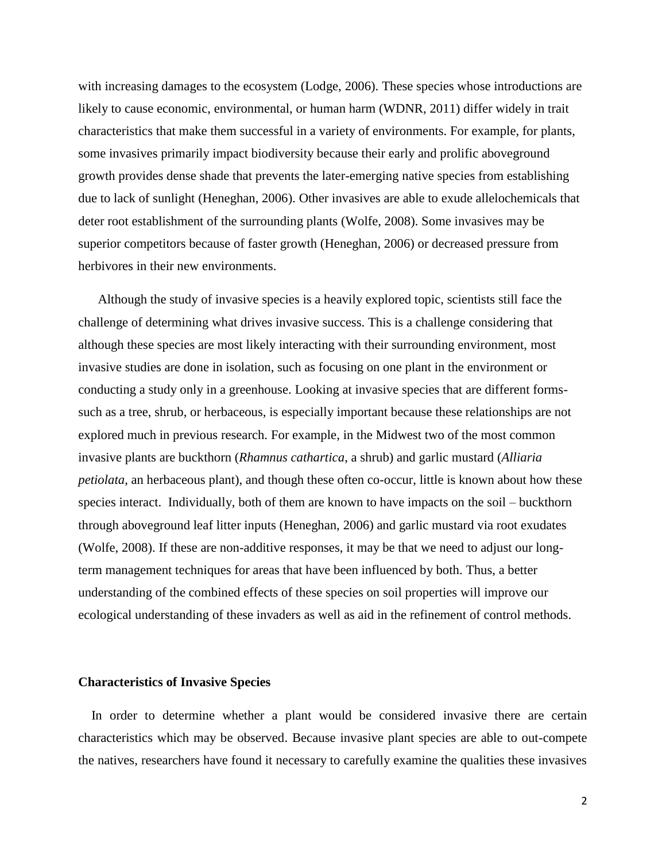with increasing damages to the ecosystem (Lodge, 2006). These species whose introductions are likely to cause economic, environmental, or human harm (WDNR, 2011) differ widely in trait characteristics that make them successful in a variety of environments. For example, for plants, some invasives primarily impact biodiversity because their early and prolific aboveground growth provides dense shade that prevents the later-emerging native species from establishing due to lack of sunlight (Heneghan, 2006). Other invasives are able to exude allelochemicals that deter root establishment of the surrounding plants (Wolfe, 2008). Some invasives may be superior competitors because of faster growth (Heneghan, 2006) or decreased pressure from herbivores in their new environments.

 Although the study of invasive species is a heavily explored topic, scientists still face the challenge of determining what drives invasive success. This is a challenge considering that although these species are most likely interacting with their surrounding environment, most invasive studies are done in isolation, such as focusing on one plant in the environment or conducting a study only in a greenhouse. Looking at invasive species that are different formssuch as a tree, shrub, or herbaceous, is especially important because these relationships are not explored much in previous research. For example, in the Midwest two of the most common invasive plants are buckthorn (*Rhamnus cathartica*, a shrub) and garlic mustard (*Alliaria petiolata*, an herbaceous plant), and though these often co-occur, little is known about how these species interact. Individually, both of them are known to have impacts on the soil – buckthorn through aboveground leaf litter inputs (Heneghan, 2006) and garlic mustard via root exudates (Wolfe, 2008). If these are non-additive responses, it may be that we need to adjust our longterm management techniques for areas that have been influenced by both. Thus, a better understanding of the combined effects of these species on soil properties will improve our ecological understanding of these invaders as well as aid in the refinement of control methods.

#### **Characteristics of Invasive Species**

 In order to determine whether a plant would be considered invasive there are certain characteristics which may be observed. Because invasive plant species are able to out-compete the natives, researchers have found it necessary to carefully examine the qualities these invasives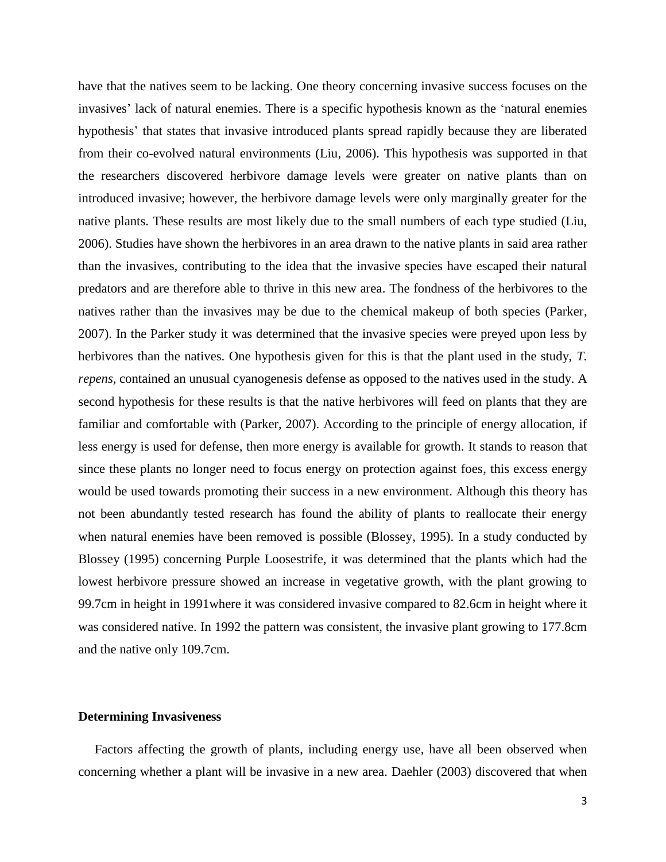have that the natives seem to be lacking. One theory concerning invasive success focuses on the invasives' lack of natural enemies. There is a specific hypothesis known as the 'natural enemies hypothesis' that states that invasive introduced plants spread rapidly because they are liberated from their co-evolved natural environments (Liu, 2006). This hypothesis was supported in that the researchers discovered herbivore damage levels were greater on native plants than on introduced invasive; however, the herbivore damage levels were only marginally greater for the native plants. These results are most likely due to the small numbers of each type studied (Liu, 2006). Studies have shown the herbivores in an area drawn to the native plants in said area rather than the invasives, contributing to the idea that the invasive species have escaped their natural predators and are therefore able to thrive in this new area. The fondness of the herbivores to the natives rather than the invasives may be due to the chemical makeup of both species (Parker, 2007). In the Parker study it was determined that the invasive species were preyed upon less by herbivores than the natives. One hypothesis given for this is that the plant used in the study, *T. repens,* contained an unusual cyanogenesis defense as opposed to the natives used in the study. A second hypothesis for these results is that the native herbivores will feed on plants that they are familiar and comfortable with (Parker, 2007). According to the principle of energy allocation, if less energy is used for defense, then more energy is available for growth. It stands to reason that since these plants no longer need to focus energy on protection against foes, this excess energy would be used towards promoting their success in a new environment. Although this theory has not been abundantly tested research has found the ability of plants to reallocate their energy when natural enemies have been removed is possible (Blossey, 1995). In a study conducted by Blossey (1995) concerning Purple Loosestrife, it was determined that the plants which had the lowest herbivore pressure showed an increase in vegetative growth, with the plant growing to 99.7cm in height in 1991where it was considered invasive compared to 82.6cm in height where it was considered native. In 1992 the pattern was consistent, the invasive plant growing to 177.8cm and the native only 109.7cm.

#### **Determining Invasiveness**

 Factors affecting the growth of plants, including energy use, have all been observed when concerning whether a plant will be invasive in a new area. Daehler (2003) discovered that when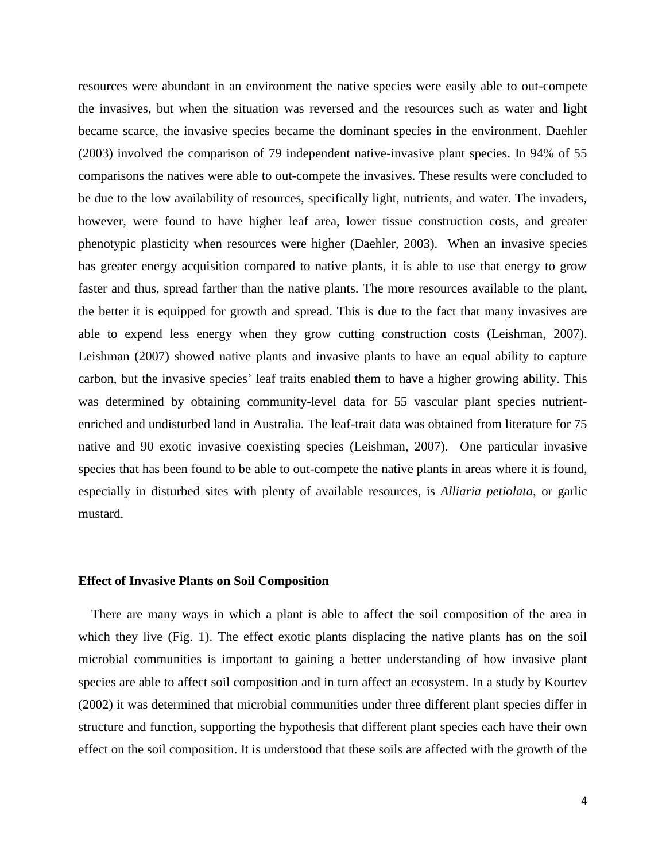resources were abundant in an environment the native species were easily able to out-compete the invasives, but when the situation was reversed and the resources such as water and light became scarce, the invasive species became the dominant species in the environment. Daehler (2003) involved the comparison of 79 independent native-invasive plant species. In 94% of 55 comparisons the natives were able to out-compete the invasives. These results were concluded to be due to the low availability of resources, specifically light, nutrients, and water. The invaders, however, were found to have higher leaf area, lower tissue construction costs, and greater phenotypic plasticity when resources were higher (Daehler, 2003). When an invasive species has greater energy acquisition compared to native plants, it is able to use that energy to grow faster and thus, spread farther than the native plants. The more resources available to the plant, the better it is equipped for growth and spread. This is due to the fact that many invasives are able to expend less energy when they grow cutting construction costs (Leishman, 2007). Leishman (2007) showed native plants and invasive plants to have an equal ability to capture carbon, but the invasive species' leaf traits enabled them to have a higher growing ability. This was determined by obtaining community-level data for 55 vascular plant species nutrientenriched and undisturbed land in Australia. The leaf-trait data was obtained from literature for 75 native and 90 exotic invasive coexisting species (Leishman, 2007). One particular invasive species that has been found to be able to out-compete the native plants in areas where it is found, especially in disturbed sites with plenty of available resources, is *Alliaria petiolata,* or garlic mustard.

#### **Effect of Invasive Plants on Soil Composition**

 There are many ways in which a plant is able to affect the soil composition of the area in which they live (Fig. 1). The effect exotic plants displacing the native plants has on the soil microbial communities is important to gaining a better understanding of how invasive plant species are able to affect soil composition and in turn affect an ecosystem. In a study by Kourtev (2002) it was determined that microbial communities under three different plant species differ in structure and function, supporting the hypothesis that different plant species each have their own effect on the soil composition. It is understood that these soils are affected with the growth of the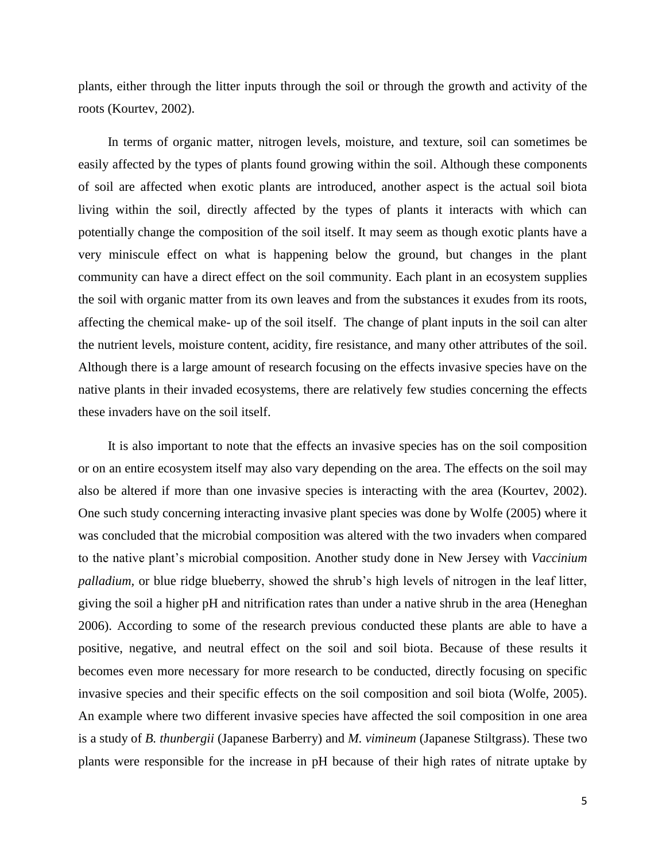plants, either through the litter inputs through the soil or through the growth and activity of the roots (Kourtev, 2002).

 In terms of organic matter, nitrogen levels, moisture, and texture, soil can sometimes be easily affected by the types of plants found growing within the soil. Although these components of soil are affected when exotic plants are introduced, another aspect is the actual soil biota living within the soil, directly affected by the types of plants it interacts with which can potentially change the composition of the soil itself. It may seem as though exotic plants have a very miniscule effect on what is happening below the ground, but changes in the plant community can have a direct effect on the soil community. Each plant in an ecosystem supplies the soil with organic matter from its own leaves and from the substances it exudes from its roots, affecting the chemical make- up of the soil itself. The change of plant inputs in the soil can alter the nutrient levels, moisture content, acidity, fire resistance, and many other attributes of the soil. Although there is a large amount of research focusing on the effects invasive species have on the native plants in their invaded ecosystems, there are relatively few studies concerning the effects these invaders have on the soil itself.

 It is also important to note that the effects an invasive species has on the soil composition or on an entire ecosystem itself may also vary depending on the area. The effects on the soil may also be altered if more than one invasive species is interacting with the area (Kourtev, 2002). One such study concerning interacting invasive plant species was done by Wolfe (2005) where it was concluded that the microbial composition was altered with the two invaders when compared to the native plant's microbial composition. Another study done in New Jersey with *Vaccinium palladium,* or blue ridge blueberry, showed the shrub's high levels of nitrogen in the leaf litter, giving the soil a higher pH and nitrification rates than under a native shrub in the area (Heneghan 2006). According to some of the research previous conducted these plants are able to have a positive, negative, and neutral effect on the soil and soil biota. Because of these results it becomes even more necessary for more research to be conducted, directly focusing on specific invasive species and their specific effects on the soil composition and soil biota (Wolfe, 2005). An example where two different invasive species have affected the soil composition in one area is a study of *B. thunbergii* (Japanese Barberry) and *M. vimineum* (Japanese Stiltgrass). These two plants were responsible for the increase in pH because of their high rates of nitrate uptake by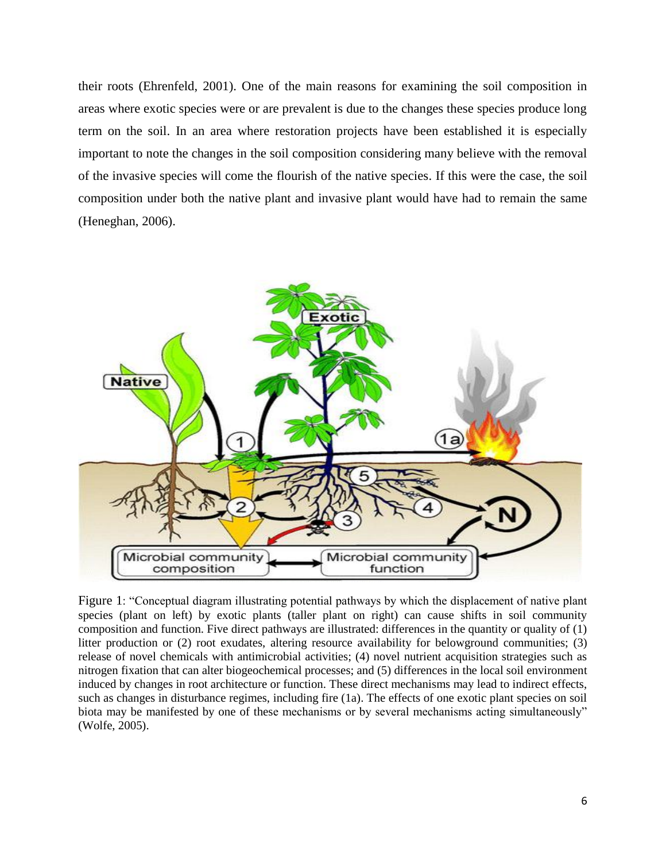their roots (Ehrenfeld, 2001). One of the main reasons for examining the soil composition in areas where exotic species were or are prevalent is due to the changes these species produce long term on the soil. In an area where restoration projects have been established it is especially important to note the changes in the soil composition considering many believe with the removal of the invasive species will come the flourish of the native species. If this were the case, the soil composition under both the native plant and invasive plant would have had to remain the same (Heneghan, 2006).



Figure 1: "Conceptual diagram illustrating potential pathways by which the displacement of native plant species (plant on left) by exotic plants (taller plant on right) can cause shifts in soil community composition and function. Five direct pathways are illustrated: differences in the quantity or quality of (1) litter production or (2) root exudates, altering resource availability for belowground communities; (3) release of novel chemicals with antimicrobial activities; (4) novel nutrient acquisition strategies such as nitrogen fixation that can alter biogeochemical processes; and (5) differences in the local soil environment induced by changes in root architecture or function. These direct mechanisms may lead to indirect effects, such as changes in disturbance regimes, including fire (1a). The effects of one exotic plant species on soil biota may be manifested by one of these mechanisms or by several mechanisms acting simultaneously" (Wolfe, 2005).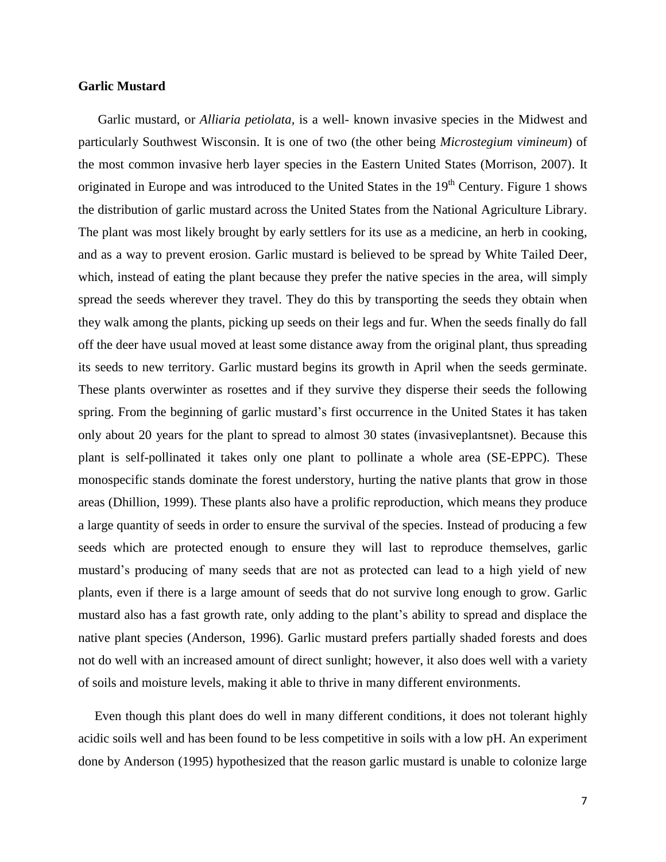#### **Garlic Mustard**

 Garlic mustard, or *Alliaria petiolata,* is a well- known invasive species in the Midwest and particularly Southwest Wisconsin. It is one of two (the other being *Microstegium vimineum*) of the most common invasive herb layer species in the Eastern United States (Morrison, 2007). It originated in Europe and was introduced to the United States in the 19<sup>th</sup> Century. Figure 1 shows the distribution of garlic mustard across the United States from the National Agriculture Library. The plant was most likely brought by early settlers for its use as a medicine, an herb in cooking, and as a way to prevent erosion. Garlic mustard is believed to be spread by White Tailed Deer, which, instead of eating the plant because they prefer the native species in the area, will simply spread the seeds wherever they travel. They do this by transporting the seeds they obtain when they walk among the plants, picking up seeds on their legs and fur. When the seeds finally do fall off the deer have usual moved at least some distance away from the original plant, thus spreading its seeds to new territory. Garlic mustard begins its growth in April when the seeds germinate. These plants overwinter as rosettes and if they survive they disperse their seeds the following spring. From the beginning of garlic mustard's first occurrence in the United States it has taken only about 20 years for the plant to spread to almost 30 states (invasiveplantsnet). Because this plant is self-pollinated it takes only one plant to pollinate a whole area (SE-EPPC). These monospecific stands dominate the forest understory, hurting the native plants that grow in those areas (Dhillion, 1999). These plants also have a prolific reproduction, which means they produce a large quantity of seeds in order to ensure the survival of the species. Instead of producing a few seeds which are protected enough to ensure they will last to reproduce themselves, garlic mustard's producing of many seeds that are not as protected can lead to a high yield of new plants, even if there is a large amount of seeds that do not survive long enough to grow. Garlic mustard also has a fast growth rate, only adding to the plant's ability to spread and displace the native plant species (Anderson, 1996). Garlic mustard prefers partially shaded forests and does not do well with an increased amount of direct sunlight; however, it also does well with a variety of soils and moisture levels, making it able to thrive in many different environments.

 Even though this plant does do well in many different conditions, it does not tolerant highly acidic soils well and has been found to be less competitive in soils with a low pH. An experiment done by Anderson (1995) hypothesized that the reason garlic mustard is unable to colonize large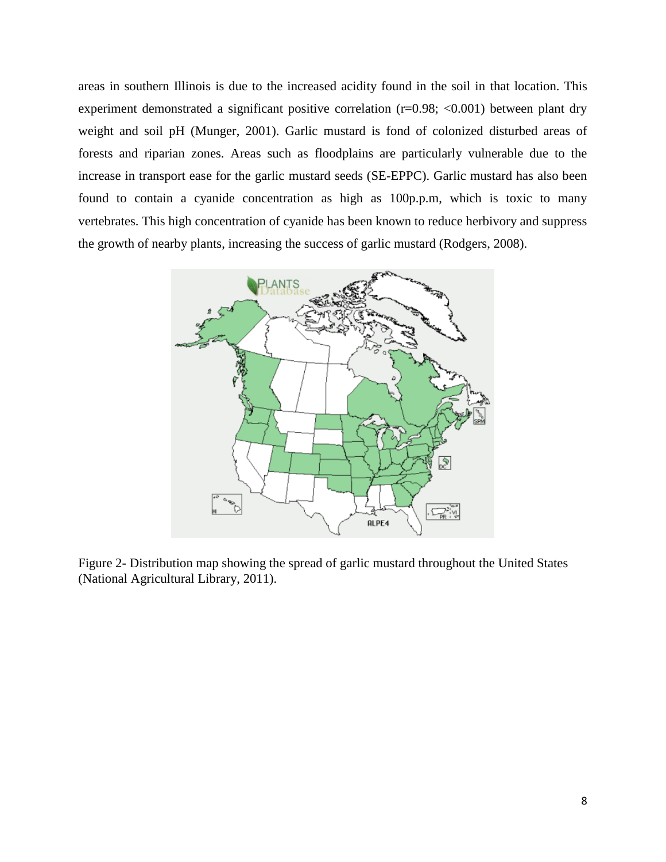areas in southern Illinois is due to the increased acidity found in the soil in that location. This experiment demonstrated a significant positive correlation (r=0.98; <0.001) between plant dry weight and soil pH (Munger, 2001). Garlic mustard is fond of colonized disturbed areas of forests and riparian zones. Areas such as floodplains are particularly vulnerable due to the increase in transport ease for the garlic mustard seeds (SE-EPPC). Garlic mustard has also been found to contain a cyanide concentration as high as 100p.p.m, which is toxic to many vertebrates. This high concentration of cyanide has been known to reduce herbivory and suppress the growth of nearby plants, increasing the success of garlic mustard (Rodgers, 2008).



Figure 2**-** Distribution map showing the spread of garlic mustard throughout the United States (National Agricultural Library, 2011).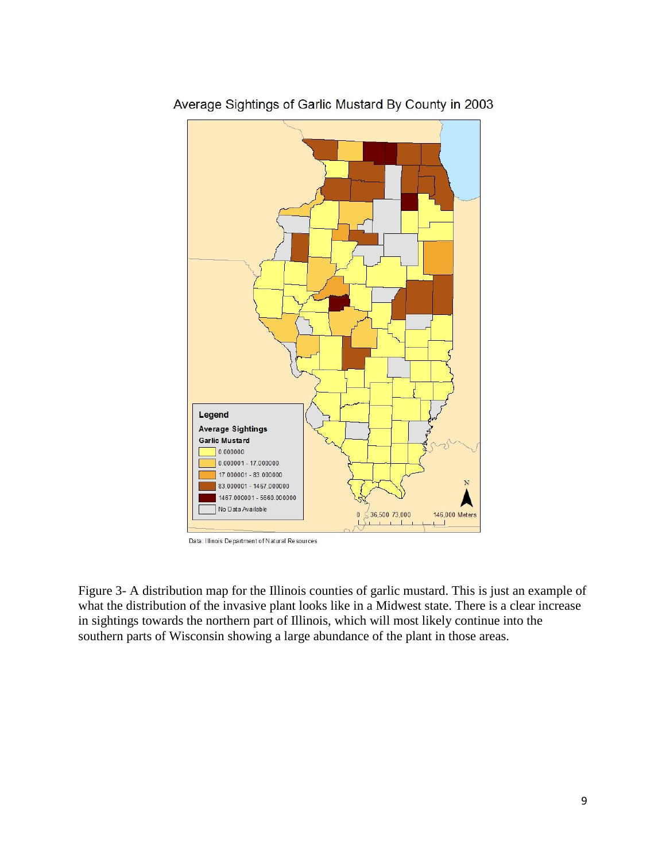

Average Sightings of Garlic Mustard By County in 2003

Data: Illinois Department of Natural Resources

Figure 3- A distribution map for the Illinois counties of garlic mustard. This is just an example of what the distribution of the invasive plant looks like in a Midwest state. There is a clear increase in sightings towards the northern part of Illinois, which will most likely continue into the southern parts of Wisconsin showing a large abundance of the plant in those areas.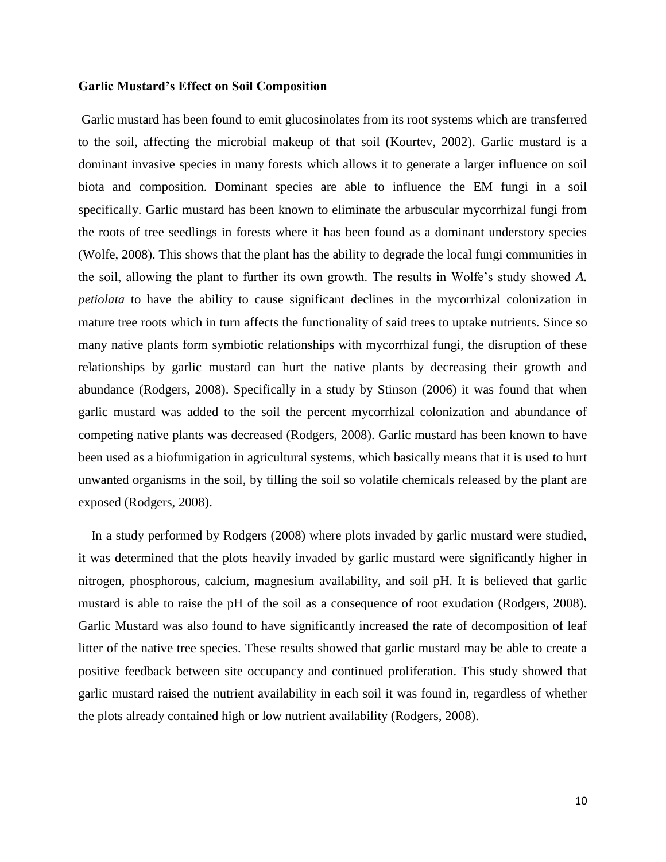#### **Garlic Mustard's Effect on Soil Composition**

Garlic mustard has been found to emit glucosinolates from its root systems which are transferred to the soil, affecting the microbial makeup of that soil (Kourtev, 2002). Garlic mustard is a dominant invasive species in many forests which allows it to generate a larger influence on soil biota and composition. Dominant species are able to influence the EM fungi in a soil specifically. Garlic mustard has been known to eliminate the arbuscular mycorrhizal fungi from the roots of tree seedlings in forests where it has been found as a dominant understory species (Wolfe, 2008). This shows that the plant has the ability to degrade the local fungi communities in the soil, allowing the plant to further its own growth. The results in Wolfe's study showed *A. petiolata* to have the ability to cause significant declines in the mycorrhizal colonization in mature tree roots which in turn affects the functionality of said trees to uptake nutrients. Since so many native plants form symbiotic relationships with mycorrhizal fungi, the disruption of these relationships by garlic mustard can hurt the native plants by decreasing their growth and abundance (Rodgers, 2008). Specifically in a study by Stinson (2006) it was found that when garlic mustard was added to the soil the percent mycorrhizal colonization and abundance of competing native plants was decreased (Rodgers, 2008). Garlic mustard has been known to have been used as a biofumigation in agricultural systems, which basically means that it is used to hurt unwanted organisms in the soil, by tilling the soil so volatile chemicals released by the plant are exposed (Rodgers, 2008).

 In a study performed by Rodgers (2008) where plots invaded by garlic mustard were studied, it was determined that the plots heavily invaded by garlic mustard were significantly higher in nitrogen, phosphorous, calcium, magnesium availability, and soil pH. It is believed that garlic mustard is able to raise the pH of the soil as a consequence of root exudation (Rodgers, 2008). Garlic Mustard was also found to have significantly increased the rate of decomposition of leaf litter of the native tree species. These results showed that garlic mustard may be able to create a positive feedback between site occupancy and continued proliferation. This study showed that garlic mustard raised the nutrient availability in each soil it was found in, regardless of whether the plots already contained high or low nutrient availability (Rodgers, 2008).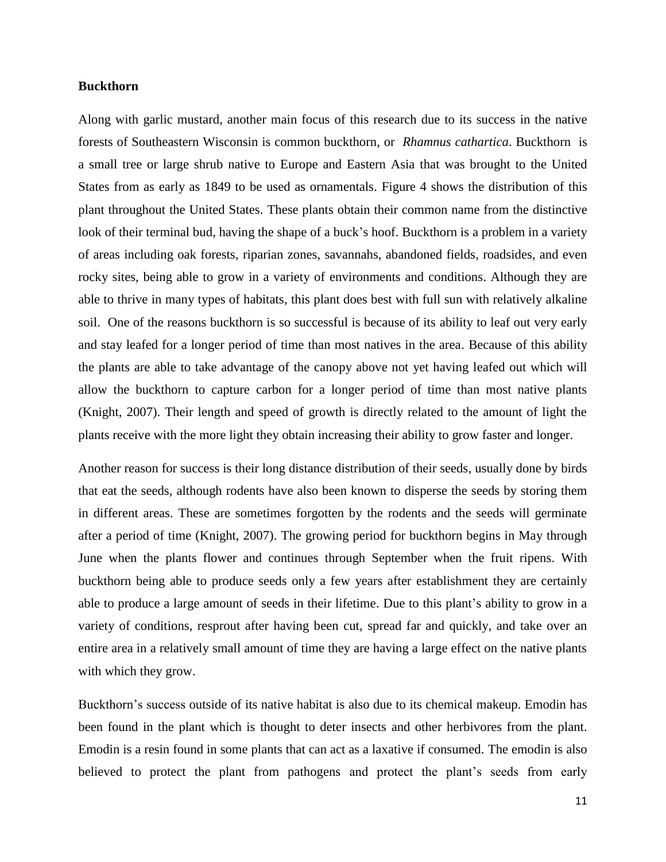#### **Buckthorn**

Along with garlic mustard, another main focus of this research due to its success in the native forests of Southeastern Wisconsin is common buckthorn, or *Rhamnus cathartica*. Buckthorn is a small tree or large shrub native to Europe and Eastern Asia that was brought to the United States from as early as 1849 to be used as ornamentals. Figure 4 shows the distribution of this plant throughout the United States. These plants obtain their common name from the distinctive look of their terminal bud, having the shape of a buck's hoof. Buckthorn is a problem in a variety of areas including oak forests, riparian zones, savannahs, abandoned fields, roadsides, and even rocky sites, being able to grow in a variety of environments and conditions. Although they are able to thrive in many types of habitats, this plant does best with full sun with relatively alkaline soil. One of the reasons buckthorn is so successful is because of its ability to leaf out very early and stay leafed for a longer period of time than most natives in the area. Because of this ability the plants are able to take advantage of the canopy above not yet having leafed out which will allow the buckthorn to capture carbon for a longer period of time than most native plants (Knight, 2007). Their length and speed of growth is directly related to the amount of light the plants receive with the more light they obtain increasing their ability to grow faster and longer.

Another reason for success is their long distance distribution of their seeds, usually done by birds that eat the seeds, although rodents have also been known to disperse the seeds by storing them in different areas. These are sometimes forgotten by the rodents and the seeds will germinate after a period of time (Knight, 2007). The growing period for buckthorn begins in May through June when the plants flower and continues through September when the fruit ripens. With buckthorn being able to produce seeds only a few years after establishment they are certainly able to produce a large amount of seeds in their lifetime. Due to this plant's ability to grow in a variety of conditions, resprout after having been cut, spread far and quickly, and take over an entire area in a relatively small amount of time they are having a large effect on the native plants with which they grow.

Buckthorn's success outside of its native habitat is also due to its chemical makeup. Emodin has been found in the plant which is thought to deter insects and other herbivores from the plant. Emodin is a resin found in some plants that can act as a laxative if consumed. The emodin is also believed to protect the plant from pathogens and protect the plant's seeds from early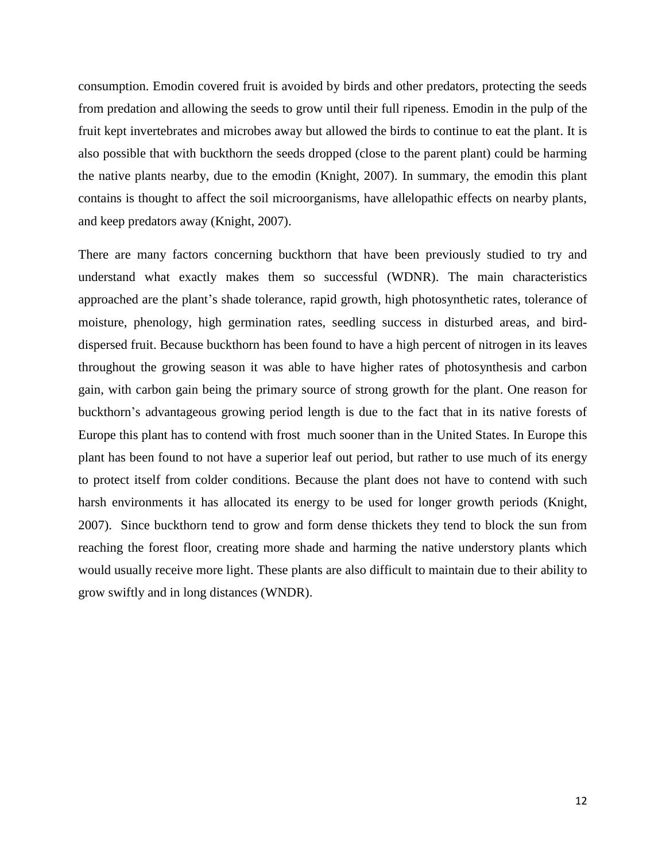consumption. Emodin covered fruit is avoided by birds and other predators, protecting the seeds from predation and allowing the seeds to grow until their full ripeness. Emodin in the pulp of the fruit kept invertebrates and microbes away but allowed the birds to continue to eat the plant. It is also possible that with buckthorn the seeds dropped (close to the parent plant) could be harming the native plants nearby, due to the emodin (Knight, 2007). In summary, the emodin this plant contains is thought to affect the soil microorganisms, have allelopathic effects on nearby plants, and keep predators away (Knight, 2007).

There are many factors concerning buckthorn that have been previously studied to try and understand what exactly makes them so successful (WDNR). The main characteristics approached are the plant's shade tolerance, rapid growth, high photosynthetic rates, tolerance of moisture, phenology, high germination rates, seedling success in disturbed areas, and birddispersed fruit. Because buckthorn has been found to have a high percent of nitrogen in its leaves throughout the growing season it was able to have higher rates of photosynthesis and carbon gain, with carbon gain being the primary source of strong growth for the plant. One reason for buckthorn's advantageous growing period length is due to the fact that in its native forests of Europe this plant has to contend with frost much sooner than in the United States. In Europe this plant has been found to not have a superior leaf out period, but rather to use much of its energy to protect itself from colder conditions. Because the plant does not have to contend with such harsh environments it has allocated its energy to be used for longer growth periods (Knight, 2007). Since buckthorn tend to grow and form dense thickets they tend to block the sun from reaching the forest floor, creating more shade and harming the native understory plants which would usually receive more light. These plants are also difficult to maintain due to their ability to grow swiftly and in long distances (WNDR).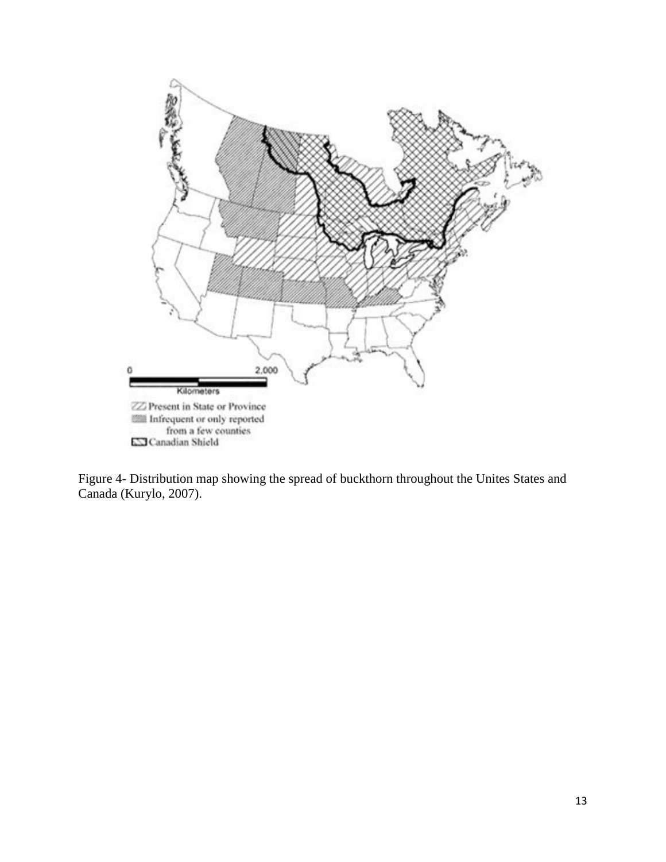

Figure 4- Distribution map showing the spread of buckthorn throughout the Unites States and Canada (Kurylo, 2007).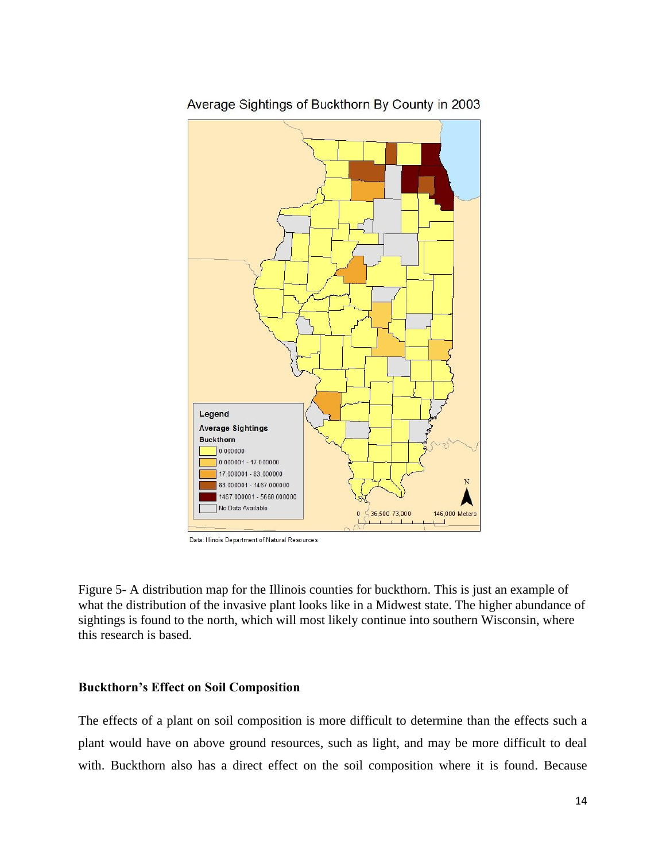

Average Sightings of Buckthorn By County in 2003

Data: Illinois Department of Natural Resources

Figure 5- A distribution map for the Illinois counties for buckthorn. This is just an example of what the distribution of the invasive plant looks like in a Midwest state. The higher abundance of sightings is found to the north, which will most likely continue into southern Wisconsin, where this research is based.

#### **Buckthorn's Effect on Soil Composition**

The effects of a plant on soil composition is more difficult to determine than the effects such a plant would have on above ground resources, such as light, and may be more difficult to deal with. Buckthorn also has a direct effect on the soil composition where it is found. Because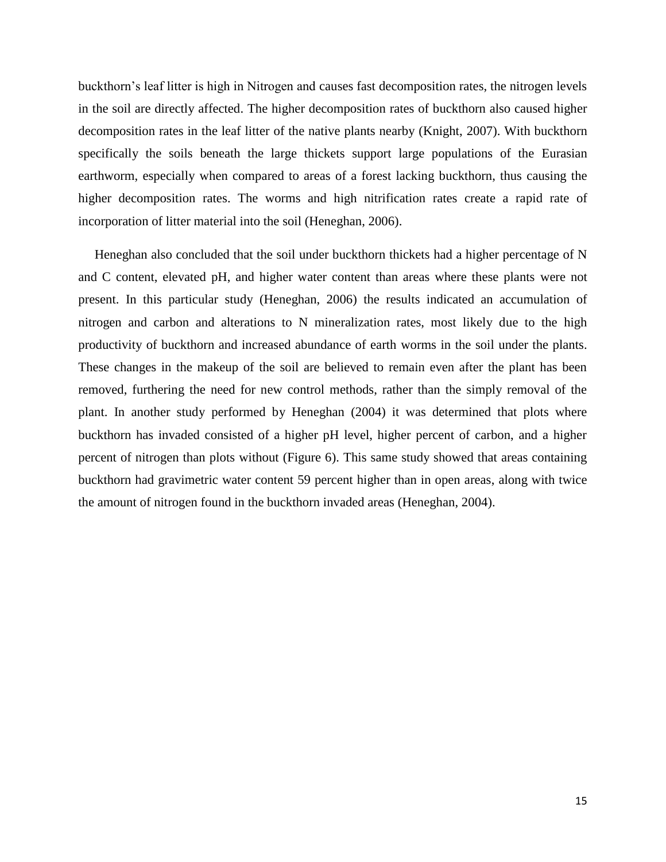buckthorn's leaf litter is high in Nitrogen and causes fast decomposition rates, the nitrogen levels in the soil are directly affected. The higher decomposition rates of buckthorn also caused higher decomposition rates in the leaf litter of the native plants nearby (Knight, 2007). With buckthorn specifically the soils beneath the large thickets support large populations of the Eurasian earthworm, especially when compared to areas of a forest lacking buckthorn, thus causing the higher decomposition rates. The worms and high nitrification rates create a rapid rate of incorporation of litter material into the soil (Heneghan, 2006).

 Heneghan also concluded that the soil under buckthorn thickets had a higher percentage of N and C content, elevated pH, and higher water content than areas where these plants were not present. In this particular study (Heneghan, 2006) the results indicated an accumulation of nitrogen and carbon and alterations to N mineralization rates, most likely due to the high productivity of buckthorn and increased abundance of earth worms in the soil under the plants. These changes in the makeup of the soil are believed to remain even after the plant has been removed, furthering the need for new control methods, rather than the simply removal of the plant. In another study performed by Heneghan (2004) it was determined that plots where buckthorn has invaded consisted of a higher pH level, higher percent of carbon, and a higher percent of nitrogen than plots without (Figure 6). This same study showed that areas containing buckthorn had gravimetric water content 59 percent higher than in open areas, along with twice the amount of nitrogen found in the buckthorn invaded areas (Heneghan, 2004).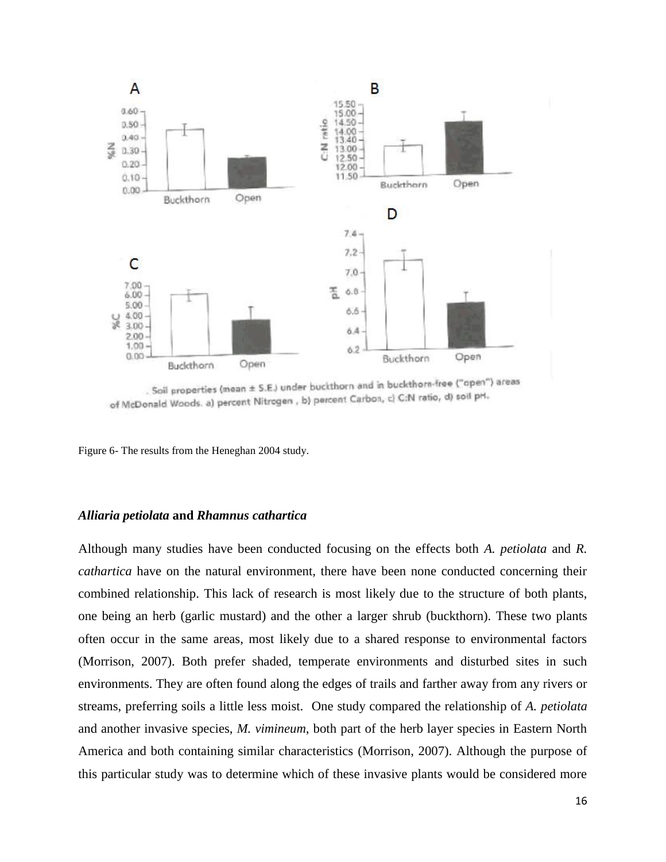

. Soil properties (mean ± S.E.) under buckthorn and in buckthorn-free ("apen") areas of McDonald Woods. a) percent Nitrogen, b) percent Carbon, c) C:N ratio, d) soil pH.

Figure 6- The results from the Heneghan 2004 study.

#### *Alliaria petiolata* **and** *Rhamnus cathartica*

Although many studies have been conducted focusing on the effects both *A. petiolata* and *R. cathartica* have on the natural environment, there have been none conducted concerning their combined relationship. This lack of research is most likely due to the structure of both plants, one being an herb (garlic mustard) and the other a larger shrub (buckthorn). These two plants often occur in the same areas, most likely due to a shared response to environmental factors (Morrison, 2007). Both prefer shaded, temperate environments and disturbed sites in such environments. They are often found along the edges of trails and farther away from any rivers or streams, preferring soils a little less moist. One study compared the relationship of *A. petiolata* and another invasive species, *M. vimineum*, both part of the herb layer species in Eastern North America and both containing similar characteristics (Morrison, 2007). Although the purpose of this particular study was to determine which of these invasive plants would be considered more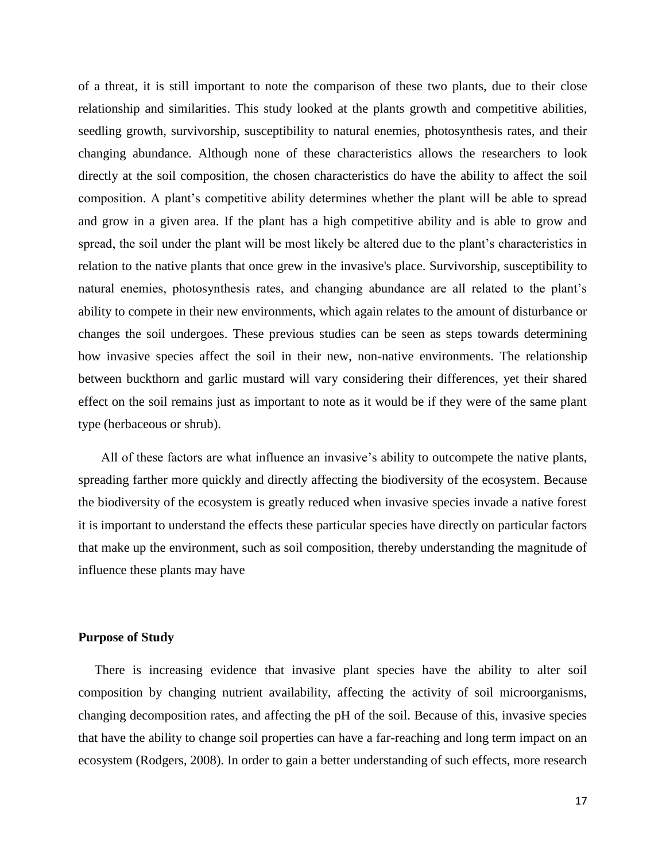of a threat, it is still important to note the comparison of these two plants, due to their close relationship and similarities. This study looked at the plants growth and competitive abilities, seedling growth, survivorship, susceptibility to natural enemies, photosynthesis rates, and their changing abundance. Although none of these characteristics allows the researchers to look directly at the soil composition, the chosen characteristics do have the ability to affect the soil composition. A plant's competitive ability determines whether the plant will be able to spread and grow in a given area. If the plant has a high competitive ability and is able to grow and spread, the soil under the plant will be most likely be altered due to the plant's characteristics in relation to the native plants that once grew in the invasive's place. Survivorship, susceptibility to natural enemies, photosynthesis rates, and changing abundance are all related to the plant's ability to compete in their new environments, which again relates to the amount of disturbance or changes the soil undergoes. These previous studies can be seen as steps towards determining how invasive species affect the soil in their new, non-native environments. The relationship between buckthorn and garlic mustard will vary considering their differences, yet their shared effect on the soil remains just as important to note as it would be if they were of the same plant type (herbaceous or shrub).

 All of these factors are what influence an invasive's ability to outcompete the native plants, spreading farther more quickly and directly affecting the biodiversity of the ecosystem. Because the biodiversity of the ecosystem is greatly reduced when invasive species invade a native forest it is important to understand the effects these particular species have directly on particular factors that make up the environment, such as soil composition, thereby understanding the magnitude of influence these plants may have

#### **Purpose of Study**

 There is increasing evidence that invasive plant species have the ability to alter soil composition by changing nutrient availability, affecting the activity of soil microorganisms, changing decomposition rates, and affecting the pH of the soil. Because of this, invasive species that have the ability to change soil properties can have a far-reaching and long term impact on an ecosystem (Rodgers, 2008). In order to gain a better understanding of such effects, more research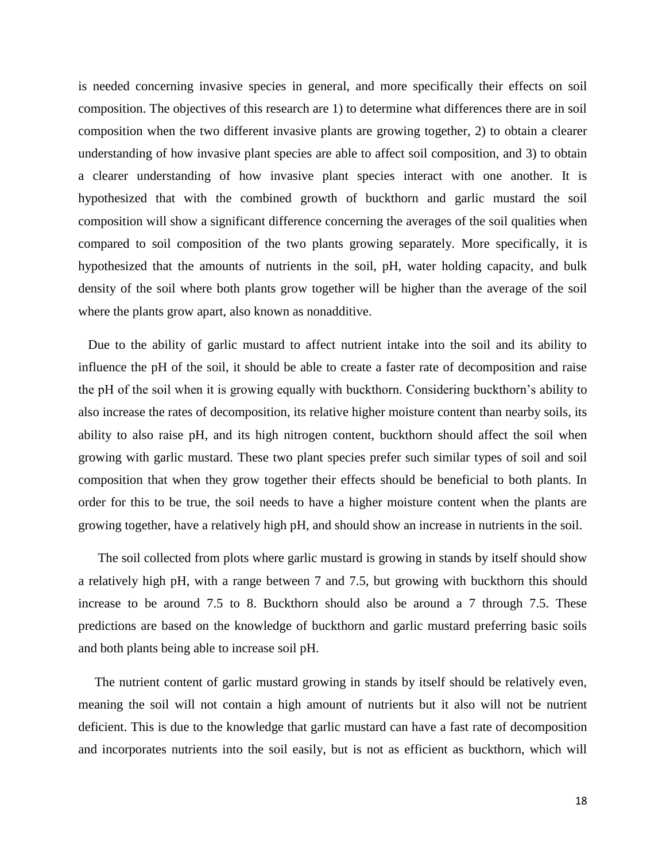is needed concerning invasive species in general, and more specifically their effects on soil composition. The objectives of this research are 1) to determine what differences there are in soil composition when the two different invasive plants are growing together, 2) to obtain a clearer understanding of how invasive plant species are able to affect soil composition, and 3) to obtain a clearer understanding of how invasive plant species interact with one another. It is hypothesized that with the combined growth of buckthorn and garlic mustard the soil composition will show a significant difference concerning the averages of the soil qualities when compared to soil composition of the two plants growing separately. More specifically, it is hypothesized that the amounts of nutrients in the soil, pH, water holding capacity, and bulk density of the soil where both plants grow together will be higher than the average of the soil where the plants grow apart, also known as nonadditive.

 Due to the ability of garlic mustard to affect nutrient intake into the soil and its ability to influence the pH of the soil, it should be able to create a faster rate of decomposition and raise the pH of the soil when it is growing equally with buckthorn. Considering buckthorn's ability to also increase the rates of decomposition, its relative higher moisture content than nearby soils, its ability to also raise pH, and its high nitrogen content, buckthorn should affect the soil when growing with garlic mustard. These two plant species prefer such similar types of soil and soil composition that when they grow together their effects should be beneficial to both plants. In order for this to be true, the soil needs to have a higher moisture content when the plants are growing together, have a relatively high pH, and should show an increase in nutrients in the soil.

 The soil collected from plots where garlic mustard is growing in stands by itself should show a relatively high pH, with a range between 7 and 7.5, but growing with buckthorn this should increase to be around 7.5 to 8. Buckthorn should also be around a 7 through 7.5. These predictions are based on the knowledge of buckthorn and garlic mustard preferring basic soils and both plants being able to increase soil pH.

 The nutrient content of garlic mustard growing in stands by itself should be relatively even, meaning the soil will not contain a high amount of nutrients but it also will not be nutrient deficient. This is due to the knowledge that garlic mustard can have a fast rate of decomposition and incorporates nutrients into the soil easily, but is not as efficient as buckthorn, which will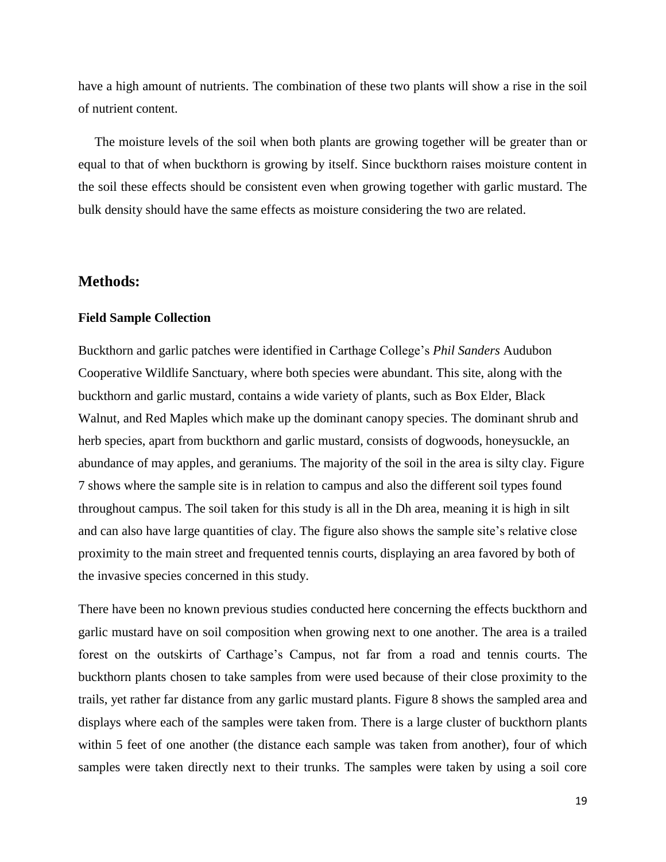have a high amount of nutrients. The combination of these two plants will show a rise in the soil of nutrient content.

 The moisture levels of the soil when both plants are growing together will be greater than or equal to that of when buckthorn is growing by itself. Since buckthorn raises moisture content in the soil these effects should be consistent even when growing together with garlic mustard. The bulk density should have the same effects as moisture considering the two are related.

## **Methods:**

#### **Field Sample Collection**

Buckthorn and garlic patches were identified in Carthage College's *Phil Sanders* Audubon Cooperative Wildlife Sanctuary, where both species were abundant. This site, along with the buckthorn and garlic mustard, contains a wide variety of plants, such as Box Elder, Black Walnut, and Red Maples which make up the dominant canopy species. The dominant shrub and herb species, apart from buckthorn and garlic mustard, consists of dogwoods, honeysuckle, an abundance of may apples, and geraniums. The majority of the soil in the area is silty clay. Figure 7 shows where the sample site is in relation to campus and also the different soil types found throughout campus. The soil taken for this study is all in the Dh area, meaning it is high in silt and can also have large quantities of clay. The figure also shows the sample site's relative close proximity to the main street and frequented tennis courts, displaying an area favored by both of the invasive species concerned in this study.

There have been no known previous studies conducted here concerning the effects buckthorn and garlic mustard have on soil composition when growing next to one another. The area is a trailed forest on the outskirts of Carthage's Campus, not far from a road and tennis courts. The buckthorn plants chosen to take samples from were used because of their close proximity to the trails, yet rather far distance from any garlic mustard plants. Figure 8 shows the sampled area and displays where each of the samples were taken from. There is a large cluster of buckthorn plants within 5 feet of one another (the distance each sample was taken from another), four of which samples were taken directly next to their trunks. The samples were taken by using a soil core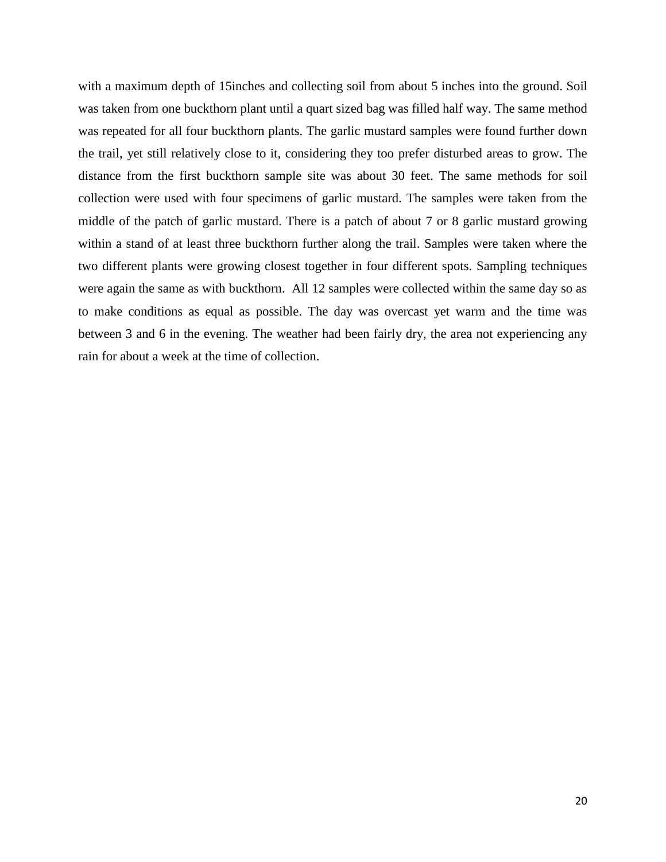with a maximum depth of 15 inches and collecting soil from about 5 inches into the ground. Soil was taken from one buckthorn plant until a quart sized bag was filled half way. The same method was repeated for all four buckthorn plants. The garlic mustard samples were found further down the trail, yet still relatively close to it, considering they too prefer disturbed areas to grow. The distance from the first buckthorn sample site was about 30 feet. The same methods for soil collection were used with four specimens of garlic mustard. The samples were taken from the middle of the patch of garlic mustard. There is a patch of about 7 or 8 garlic mustard growing within a stand of at least three buckthorn further along the trail. Samples were taken where the two different plants were growing closest together in four different spots. Sampling techniques were again the same as with buckthorn. All 12 samples were collected within the same day so as to make conditions as equal as possible. The day was overcast yet warm and the time was between 3 and 6 in the evening. The weather had been fairly dry, the area not experiencing any rain for about a week at the time of collection.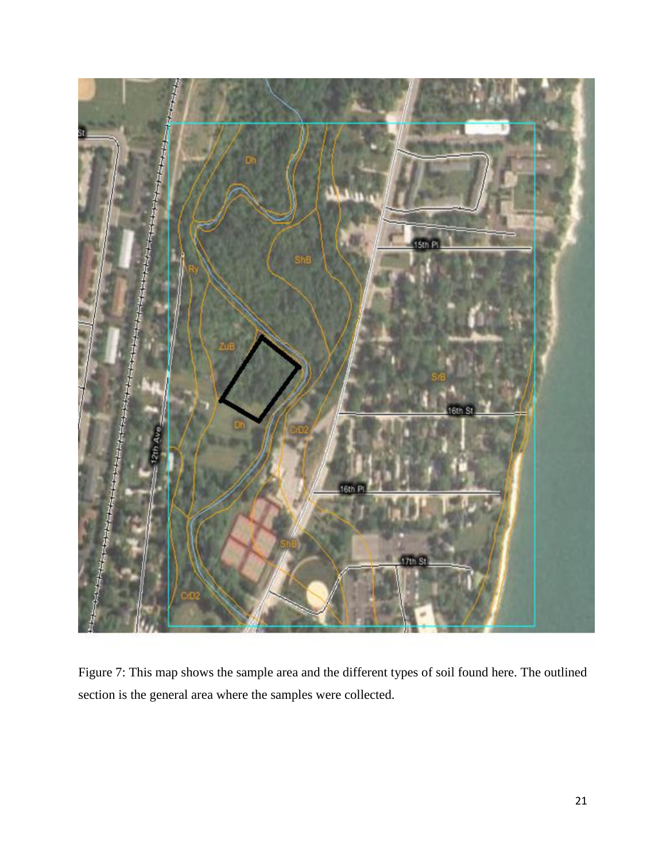

Figure 7: This map shows the sample area and the different types of soil found here. The outlined section is the general area where the samples were collected.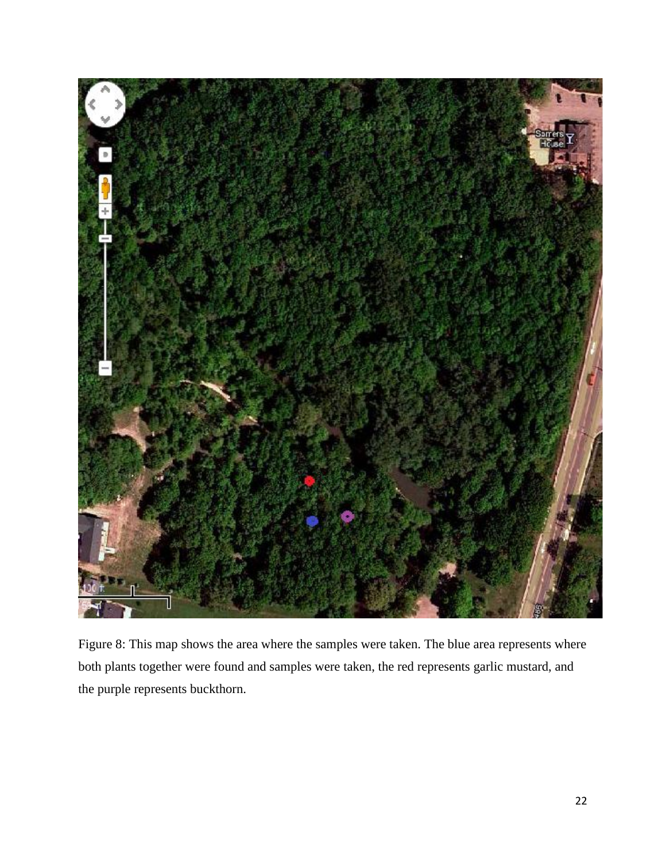

Figure 8: This map shows the area where the samples were taken. The blue area represents where both plants together were found and samples were taken, the red represents garlic mustard, and the purple represents buckthorn.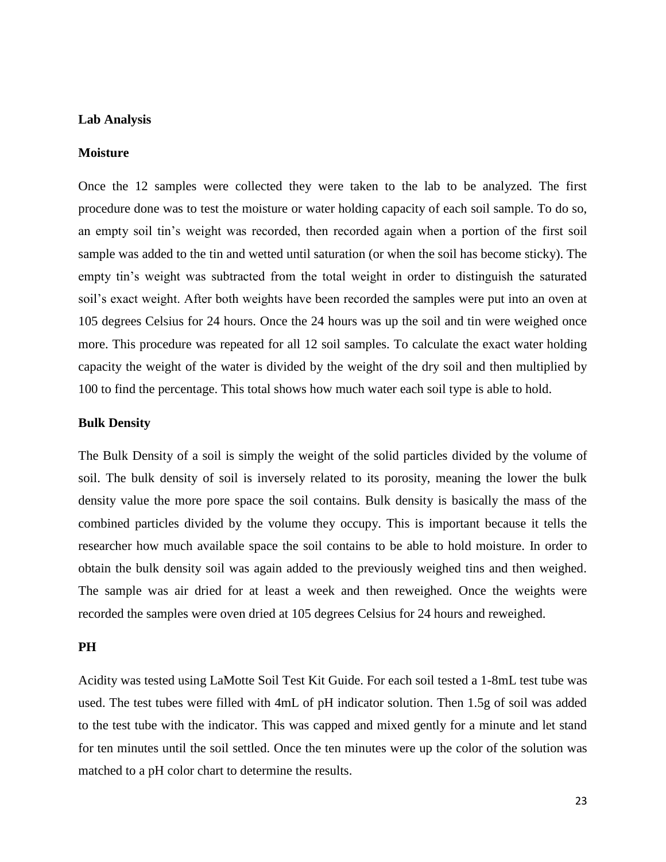#### **Lab Analysis**

#### **Moisture**

Once the 12 samples were collected they were taken to the lab to be analyzed. The first procedure done was to test the moisture or water holding capacity of each soil sample. To do so, an empty soil tin's weight was recorded, then recorded again when a portion of the first soil sample was added to the tin and wetted until saturation (or when the soil has become sticky). The empty tin's weight was subtracted from the total weight in order to distinguish the saturated soil's exact weight. After both weights have been recorded the samples were put into an oven at 105 degrees Celsius for 24 hours. Once the 24 hours was up the soil and tin were weighed once more. This procedure was repeated for all 12 soil samples. To calculate the exact water holding capacity the weight of the water is divided by the weight of the dry soil and then multiplied by 100 to find the percentage. This total shows how much water each soil type is able to hold.

#### **Bulk Density**

The Bulk Density of a soil is simply the weight of the solid particles divided by the volume of soil. The bulk density of soil is inversely related to its porosity, meaning the lower the bulk density value the more pore space the soil contains. Bulk density is basically the mass of the combined particles divided by the volume they occupy. This is important because it tells the researcher how much available space the soil contains to be able to hold moisture. In order to obtain the bulk density soil was again added to the previously weighed tins and then weighed. The sample was air dried for at least a week and then reweighed. Once the weights were recorded the samples were oven dried at 105 degrees Celsius for 24 hours and reweighed.

#### **PH**

Acidity was tested using LaMotte Soil Test Kit Guide. For each soil tested a 1-8mL test tube was used. The test tubes were filled with 4mL of pH indicator solution. Then 1.5g of soil was added to the test tube with the indicator. This was capped and mixed gently for a minute and let stand for ten minutes until the soil settled. Once the ten minutes were up the color of the solution was matched to a pH color chart to determine the results.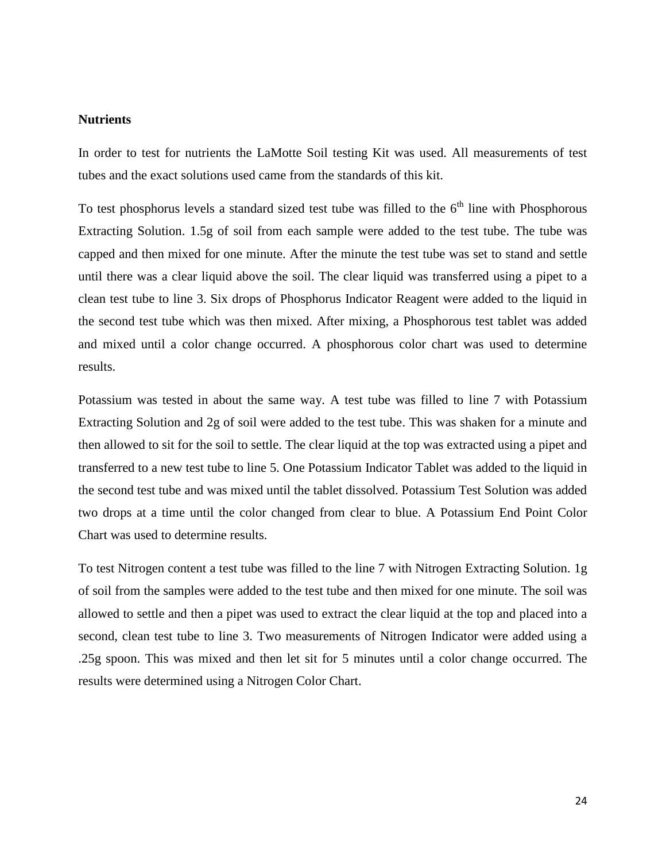### **Nutrients**

In order to test for nutrients the LaMotte Soil testing Kit was used. All measurements of test tubes and the exact solutions used came from the standards of this kit.

To test phosphorus levels a standard sized test tube was filled to the  $6<sup>th</sup>$  line with Phosphorous Extracting Solution. 1.5g of soil from each sample were added to the test tube. The tube was capped and then mixed for one minute. After the minute the test tube was set to stand and settle until there was a clear liquid above the soil. The clear liquid was transferred using a pipet to a clean test tube to line 3. Six drops of Phosphorus Indicator Reagent were added to the liquid in the second test tube which was then mixed. After mixing, a Phosphorous test tablet was added and mixed until a color change occurred. A phosphorous color chart was used to determine results.

Potassium was tested in about the same way. A test tube was filled to line 7 with Potassium Extracting Solution and 2g of soil were added to the test tube. This was shaken for a minute and then allowed to sit for the soil to settle. The clear liquid at the top was extracted using a pipet and transferred to a new test tube to line 5. One Potassium Indicator Tablet was added to the liquid in the second test tube and was mixed until the tablet dissolved. Potassium Test Solution was added two drops at a time until the color changed from clear to blue. A Potassium End Point Color Chart was used to determine results.

To test Nitrogen content a test tube was filled to the line 7 with Nitrogen Extracting Solution. 1g of soil from the samples were added to the test tube and then mixed for one minute. The soil was allowed to settle and then a pipet was used to extract the clear liquid at the top and placed into a second, clean test tube to line 3. Two measurements of Nitrogen Indicator were added using a .25g spoon. This was mixed and then let sit for 5 minutes until a color change occurred. The results were determined using a Nitrogen Color Chart.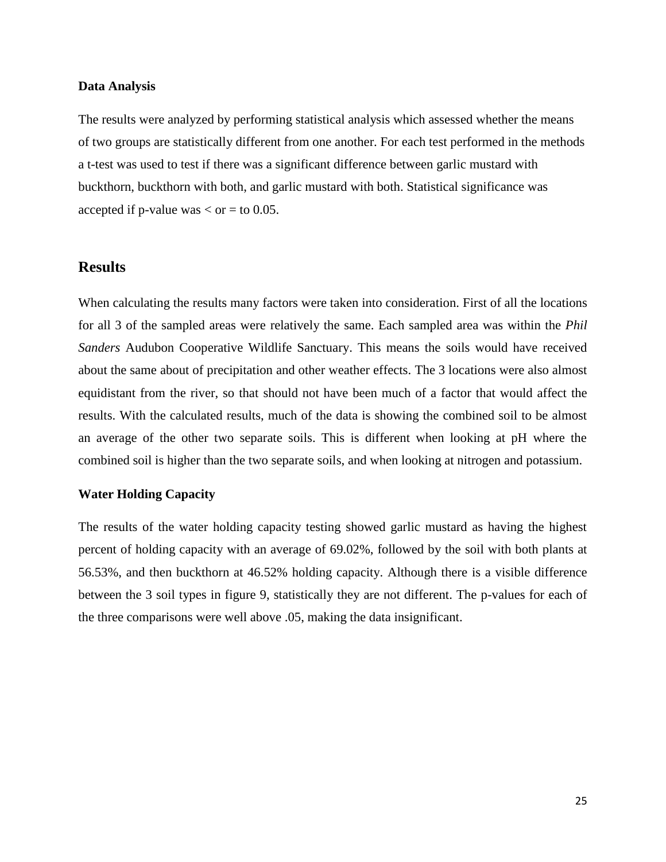#### **Data Analysis**

The results were analyzed by performing statistical analysis which assessed whether the means of two groups are statistically different from one another. For each test performed in the methods a t-test was used to test if there was a significant difference between garlic mustard with buckthorn, buckthorn with both, and garlic mustard with both. Statistical significance was accepted if p-value was  $<$  or  $=$  to 0.05.

## **Results**

When calculating the results many factors were taken into consideration. First of all the locations for all 3 of the sampled areas were relatively the same. Each sampled area was within the *Phil Sanders* Audubon Cooperative Wildlife Sanctuary. This means the soils would have received about the same about of precipitation and other weather effects. The 3 locations were also almost equidistant from the river, so that should not have been much of a factor that would affect the results. With the calculated results, much of the data is showing the combined soil to be almost an average of the other two separate soils. This is different when looking at pH where the combined soil is higher than the two separate soils, and when looking at nitrogen and potassium.

#### **Water Holding Capacity**

The results of the water holding capacity testing showed garlic mustard as having the highest percent of holding capacity with an average of 69.02%, followed by the soil with both plants at 56.53%, and then buckthorn at 46.52% holding capacity. Although there is a visible difference between the 3 soil types in figure 9, statistically they are not different. The p-values for each of the three comparisons were well above .05, making the data insignificant.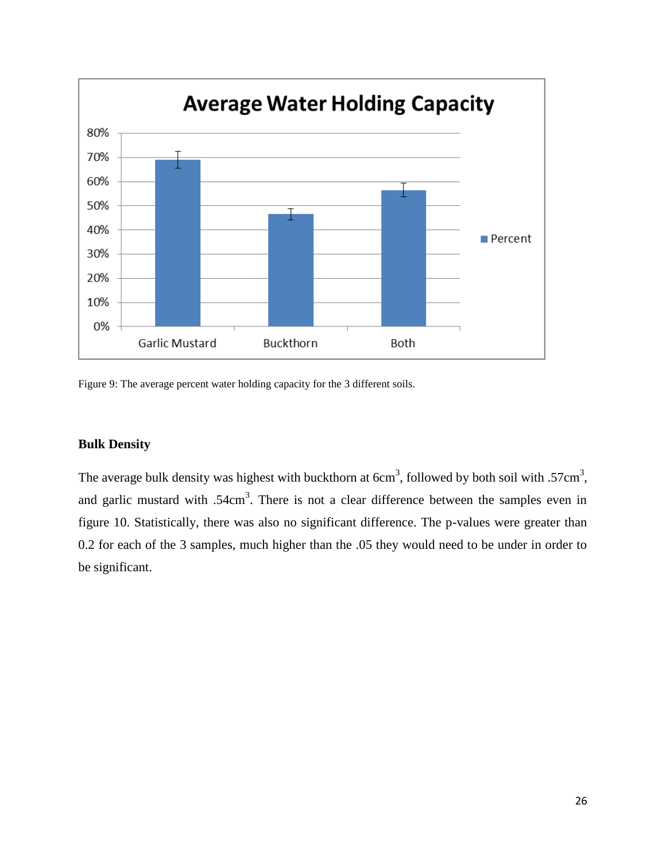

Figure 9: The average percent water holding capacity for the 3 different soils.

## **Bulk Density**

The average bulk density was highest with buckthorn at  $6cm<sup>3</sup>$ , followed by both soil with .57cm<sup>3</sup>, and garlic mustard with  $.54 \text{cm}^3$ . There is not a clear difference between the samples even in figure 10. Statistically, there was also no significant difference. The p-values were greater than 0.2 for each of the 3 samples, much higher than the .05 they would need to be under in order to be significant.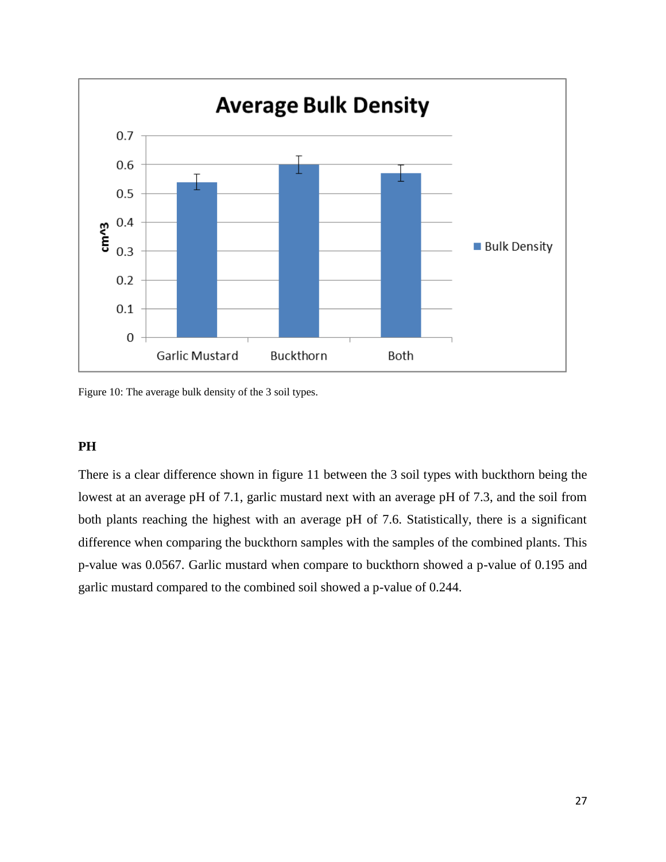

Figure 10: The average bulk density of the 3 soil types.

#### **PH**

There is a clear difference shown in figure 11 between the 3 soil types with buckthorn being the lowest at an average pH of 7.1, garlic mustard next with an average pH of 7.3, and the soil from both plants reaching the highest with an average pH of 7.6. Statistically, there is a significant difference when comparing the buckthorn samples with the samples of the combined plants. This p-value was 0.0567. Garlic mustard when compare to buckthorn showed a p-value of 0.195 and garlic mustard compared to the combined soil showed a p-value of 0.244.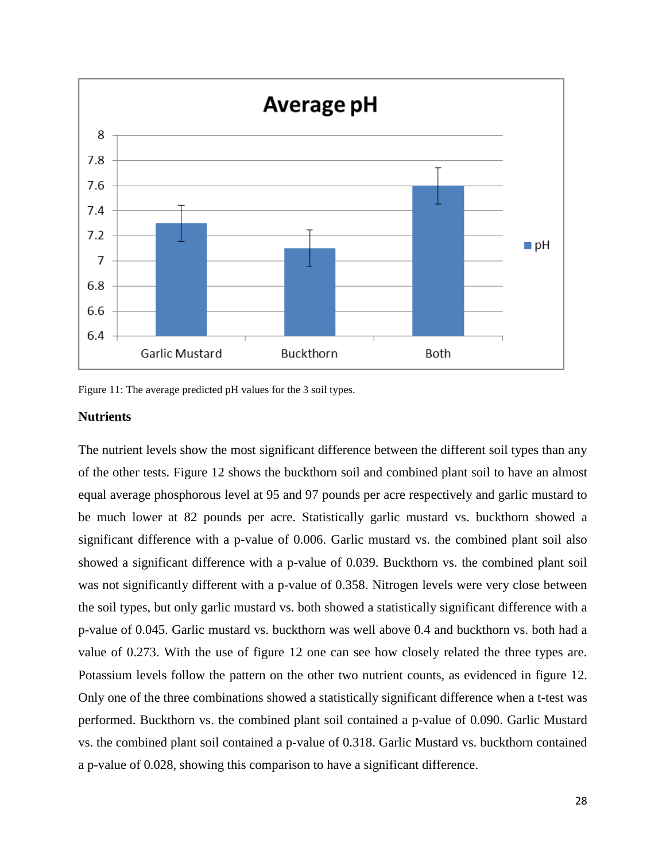

Figure 11: The average predicted pH values for the 3 soil types.

#### **Nutrients**

The nutrient levels show the most significant difference between the different soil types than any of the other tests. Figure 12 shows the buckthorn soil and combined plant soil to have an almost equal average phosphorous level at 95 and 97 pounds per acre respectively and garlic mustard to be much lower at 82 pounds per acre. Statistically garlic mustard vs. buckthorn showed a significant difference with a p-value of 0.006. Garlic mustard vs. the combined plant soil also showed a significant difference with a p-value of 0.039. Buckthorn vs. the combined plant soil was not significantly different with a p-value of 0.358. Nitrogen levels were very close between the soil types, but only garlic mustard vs. both showed a statistically significant difference with a p-value of 0.045. Garlic mustard vs. buckthorn was well above 0.4 and buckthorn vs. both had a value of 0.273. With the use of figure 12 one can see how closely related the three types are. Potassium levels follow the pattern on the other two nutrient counts, as evidenced in figure 12. Only one of the three combinations showed a statistically significant difference when a t-test was performed. Buckthorn vs. the combined plant soil contained a p-value of 0.090. Garlic Mustard vs. the combined plant soil contained a p-value of 0.318. Garlic Mustard vs. buckthorn contained a p-value of 0.028, showing this comparison to have a significant difference.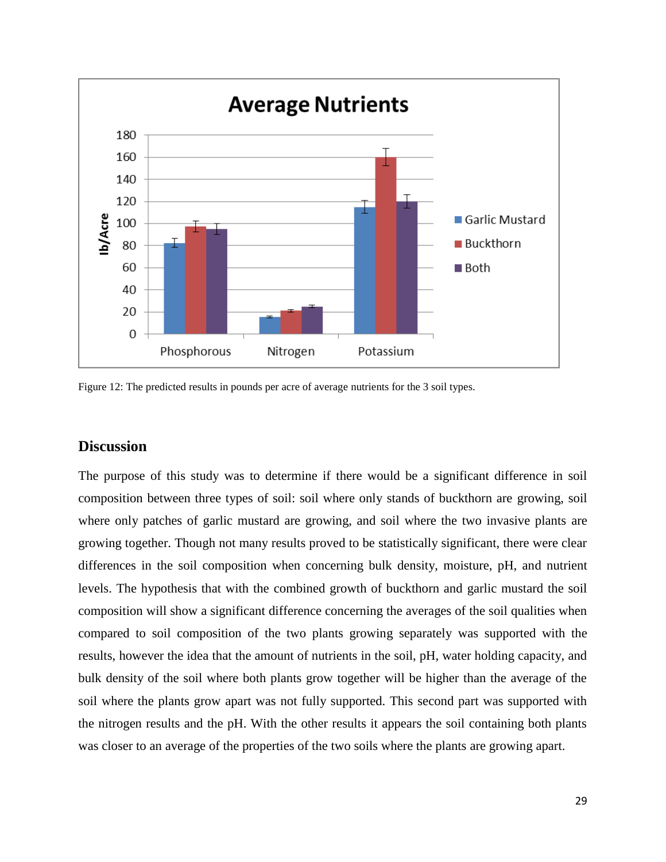

Figure 12: The predicted results in pounds per acre of average nutrients for the 3 soil types.

## **Discussion**

The purpose of this study was to determine if there would be a significant difference in soil composition between three types of soil: soil where only stands of buckthorn are growing, soil where only patches of garlic mustard are growing, and soil where the two invasive plants are growing together. Though not many results proved to be statistically significant, there were clear differences in the soil composition when concerning bulk density, moisture, pH, and nutrient levels. The hypothesis that with the combined growth of buckthorn and garlic mustard the soil composition will show a significant difference concerning the averages of the soil qualities when compared to soil composition of the two plants growing separately was supported with the results, however the idea that the amount of nutrients in the soil, pH, water holding capacity, and bulk density of the soil where both plants grow together will be higher than the average of the soil where the plants grow apart was not fully supported. This second part was supported with the nitrogen results and the pH. With the other results it appears the soil containing both plants was closer to an average of the properties of the two soils where the plants are growing apart.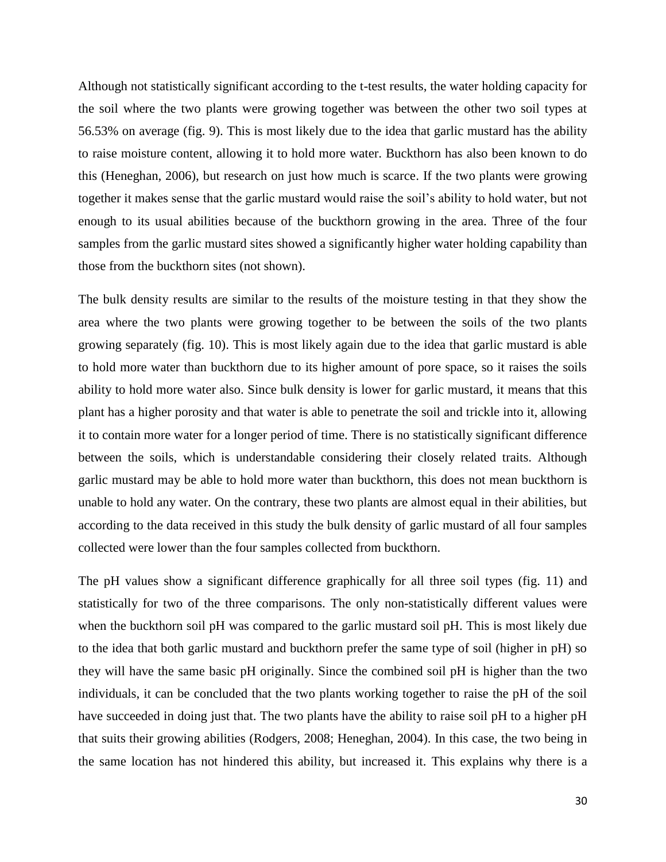Although not statistically significant according to the t-test results, the water holding capacity for the soil where the two plants were growing together was between the other two soil types at 56.53% on average (fig. 9). This is most likely due to the idea that garlic mustard has the ability to raise moisture content, allowing it to hold more water. Buckthorn has also been known to do this (Heneghan, 2006), but research on just how much is scarce. If the two plants were growing together it makes sense that the garlic mustard would raise the soil's ability to hold water, but not enough to its usual abilities because of the buckthorn growing in the area. Three of the four samples from the garlic mustard sites showed a significantly higher water holding capability than those from the buckthorn sites (not shown).

The bulk density results are similar to the results of the moisture testing in that they show the area where the two plants were growing together to be between the soils of the two plants growing separately (fig. 10). This is most likely again due to the idea that garlic mustard is able to hold more water than buckthorn due to its higher amount of pore space, so it raises the soils ability to hold more water also. Since bulk density is lower for garlic mustard, it means that this plant has a higher porosity and that water is able to penetrate the soil and trickle into it, allowing it to contain more water for a longer period of time. There is no statistically significant difference between the soils, which is understandable considering their closely related traits. Although garlic mustard may be able to hold more water than buckthorn, this does not mean buckthorn is unable to hold any water. On the contrary, these two plants are almost equal in their abilities, but according to the data received in this study the bulk density of garlic mustard of all four samples collected were lower than the four samples collected from buckthorn.

The pH values show a significant difference graphically for all three soil types (fig. 11) and statistically for two of the three comparisons. The only non-statistically different values were when the buckthorn soil pH was compared to the garlic mustard soil pH. This is most likely due to the idea that both garlic mustard and buckthorn prefer the same type of soil (higher in pH) so they will have the same basic pH originally. Since the combined soil pH is higher than the two individuals, it can be concluded that the two plants working together to raise the pH of the soil have succeeded in doing just that. The two plants have the ability to raise soil pH to a higher pH that suits their growing abilities (Rodgers, 2008; Heneghan, 2004). In this case, the two being in the same location has not hindered this ability, but increased it. This explains why there is a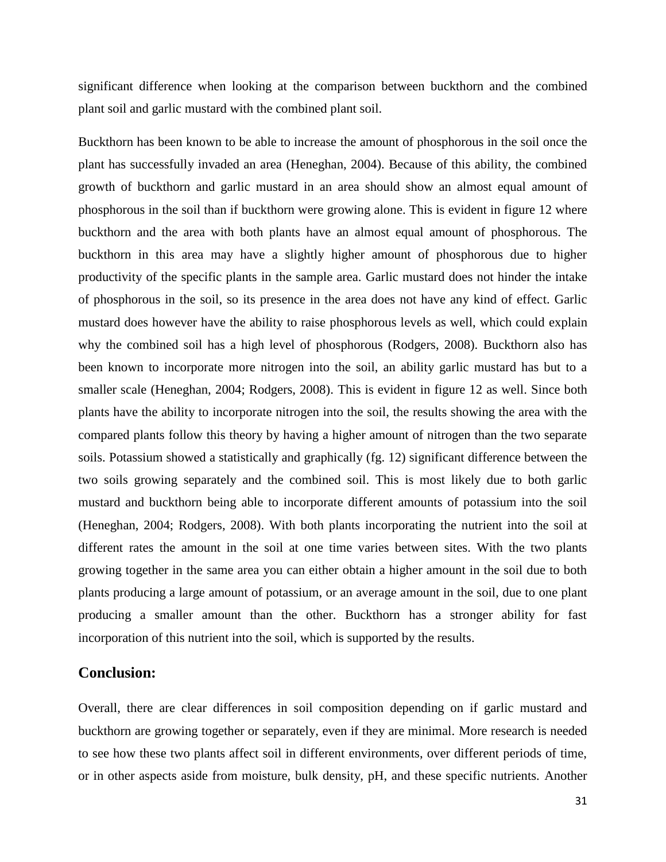significant difference when looking at the comparison between buckthorn and the combined plant soil and garlic mustard with the combined plant soil.

Buckthorn has been known to be able to increase the amount of phosphorous in the soil once the plant has successfully invaded an area (Heneghan, 2004). Because of this ability, the combined growth of buckthorn and garlic mustard in an area should show an almost equal amount of phosphorous in the soil than if buckthorn were growing alone. This is evident in figure 12 where buckthorn and the area with both plants have an almost equal amount of phosphorous. The buckthorn in this area may have a slightly higher amount of phosphorous due to higher productivity of the specific plants in the sample area. Garlic mustard does not hinder the intake of phosphorous in the soil, so its presence in the area does not have any kind of effect. Garlic mustard does however have the ability to raise phosphorous levels as well, which could explain why the combined soil has a high level of phosphorous (Rodgers, 2008). Buckthorn also has been known to incorporate more nitrogen into the soil, an ability garlic mustard has but to a smaller scale (Heneghan, 2004; Rodgers, 2008). This is evident in figure 12 as well. Since both plants have the ability to incorporate nitrogen into the soil, the results showing the area with the compared plants follow this theory by having a higher amount of nitrogen than the two separate soils. Potassium showed a statistically and graphically (fg. 12) significant difference between the two soils growing separately and the combined soil. This is most likely due to both garlic mustard and buckthorn being able to incorporate different amounts of potassium into the soil (Heneghan, 2004; Rodgers, 2008). With both plants incorporating the nutrient into the soil at different rates the amount in the soil at one time varies between sites. With the two plants growing together in the same area you can either obtain a higher amount in the soil due to both plants producing a large amount of potassium, or an average amount in the soil, due to one plant producing a smaller amount than the other. Buckthorn has a stronger ability for fast incorporation of this nutrient into the soil, which is supported by the results.

## **Conclusion:**

Overall, there are clear differences in soil composition depending on if garlic mustard and buckthorn are growing together or separately, even if they are minimal. More research is needed to see how these two plants affect soil in different environments, over different periods of time, or in other aspects aside from moisture, bulk density, pH, and these specific nutrients. Another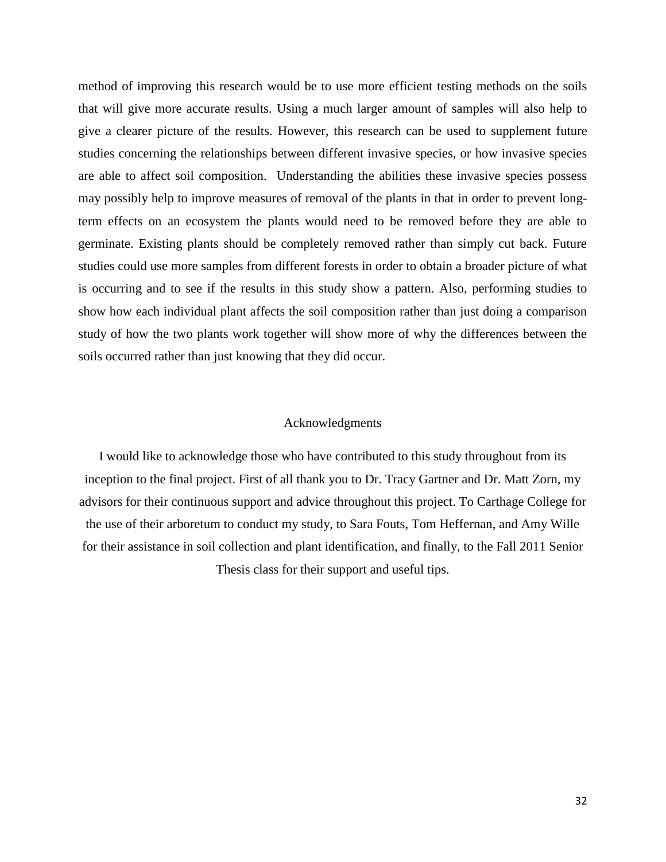method of improving this research would be to use more efficient testing methods on the soils that will give more accurate results. Using a much larger amount of samples will also help to give a clearer picture of the results. However, this research can be used to supplement future studies concerning the relationships between different invasive species, or how invasive species are able to affect soil composition. Understanding the abilities these invasive species possess may possibly help to improve measures of removal of the plants in that in order to prevent longterm effects on an ecosystem the plants would need to be removed before they are able to germinate. Existing plants should be completely removed rather than simply cut back. Future studies could use more samples from different forests in order to obtain a broader picture of what is occurring and to see if the results in this study show a pattern. Also, performing studies to show how each individual plant affects the soil composition rather than just doing a comparison study of how the two plants work together will show more of why the differences between the soils occurred rather than just knowing that they did occur.

#### Acknowledgments

I would like to acknowledge those who have contributed to this study throughout from its inception to the final project. First of all thank you to Dr. Tracy Gartner and Dr. Matt Zorn, my advisors for their continuous support and advice throughout this project. To Carthage College for the use of their arboretum to conduct my study, to Sara Fouts, Tom Heffernan, and Amy Wille for their assistance in soil collection and plant identification, and finally, to the Fall 2011 Senior Thesis class for their support and useful tips.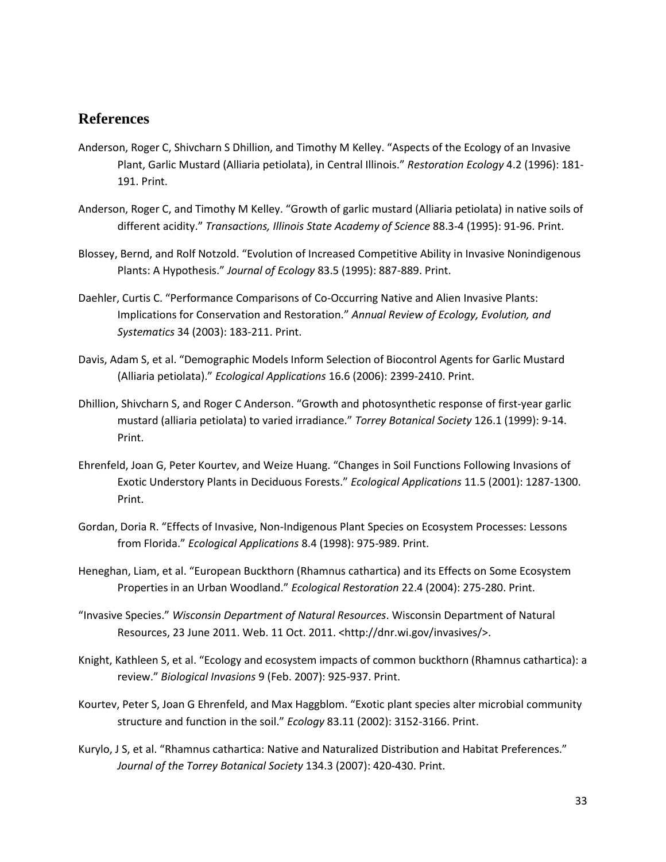## **References**

- Anderson, Roger C, Shivcharn S Dhillion, and Timothy M Kelley. "Aspects of the Ecology of an Invasive Plant, Garlic Mustard (Alliaria petiolata), in Central Illinois." *Restoration Ecology* 4.2 (1996): 181- 191. Print.
- Anderson, Roger C, and Timothy M Kelley. "Growth of garlic mustard (Alliaria petiolata) in native soils of different acidity." *Transactions, Illinois State Academy of Science* 88.3-4 (1995): 91-96. Print.
- Blossey, Bernd, and Rolf Notzold. "Evolution of Increased Competitive Ability in Invasive Nonindigenous Plants: A Hypothesis." *Journal of Ecology* 83.5 (1995): 887-889. Print.
- Daehler, Curtis C. "Performance Comparisons of Co-Occurring Native and Alien Invasive Plants: Implications for Conservation and Restoration." *Annual Review of Ecology, Evolution, and Systematics* 34 (2003): 183-211. Print.
- Davis, Adam S, et al. "Demographic Models Inform Selection of Biocontrol Agents for Garlic Mustard (Alliaria petiolata)." *Ecological Applications* 16.6 (2006): 2399-2410. Print.
- Dhillion, Shivcharn S, and Roger C Anderson. "Growth and photosynthetic response of first-year garlic mustard (alliaria petiolata) to varied irradiance." *Torrey Botanical Society* 126.1 (1999): 9-14. Print.
- Ehrenfeld, Joan G, Peter Kourtev, and Weize Huang. "Changes in Soil Functions Following Invasions of Exotic Understory Plants in Deciduous Forests." *Ecological Applications* 11.5 (2001): 1287-1300. Print.
- Gordan, Doria R. "Effects of Invasive, Non-Indigenous Plant Species on Ecosystem Processes: Lessons from Florida." *Ecological Applications* 8.4 (1998): 975-989. Print.
- Heneghan, Liam, et al. "European Buckthorn (Rhamnus cathartica) and its Effects on Some Ecosystem Properties in an Urban Woodland." *Ecological Restoration* 22.4 (2004): 275-280. Print.
- "Invasive Species." *Wisconsin Department of Natural Resources*. Wisconsin Department of Natural Resources, 23 June 2011. Web. 11 Oct. 2011. <http://dnr.wi.gov/invasives/>.
- Knight, Kathleen S, et al. "Ecology and ecosystem impacts of common buckthorn (Rhamnus cathartica): a review." *Biological Invasions* 9 (Feb. 2007): 925-937. Print.
- Kourtev, Peter S, Joan G Ehrenfeld, and Max Haggblom. "Exotic plant species alter microbial community structure and function in the soil." *Ecology* 83.11 (2002): 3152-3166. Print.
- Kurylo, J S, et al. "Rhamnus cathartica: Native and Naturalized Distribution and Habitat Preferences." *Journal of the Torrey Botanical Society* 134.3 (2007): 420-430. Print.